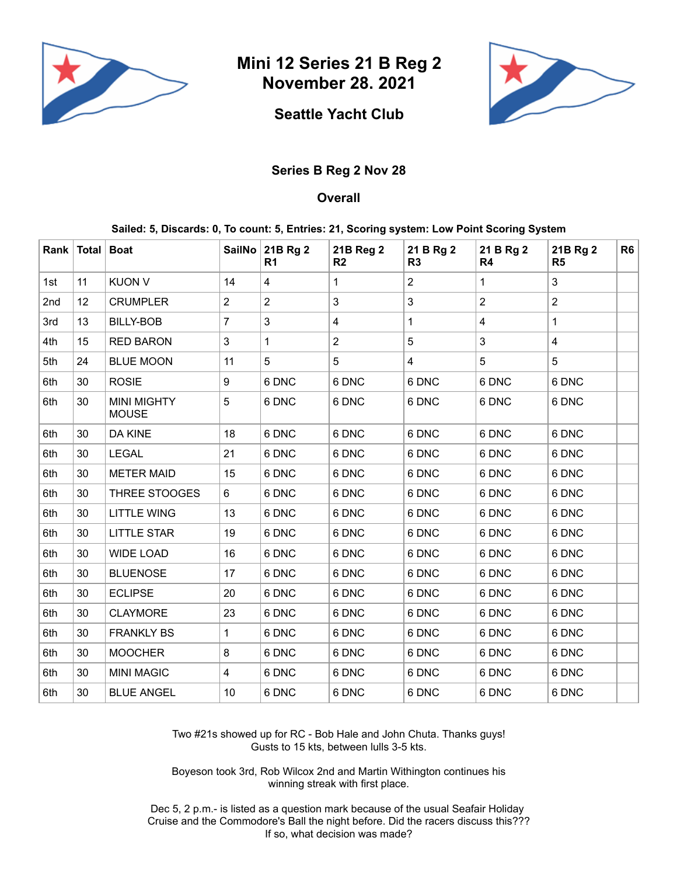

**Mini 12 Series 21 B Reg 2 November 28. 2021**



## **Seattle Yacht Club**

## **Series B Reg 2 Nov 28**

## **Overall**

## **Sailed: 5, Discards: 0, To count: 5, Entries: 21, Scoring system: Low Point Scoring System**

|     | Rank   Total   Boat |                                    |                         | SailNo 21B Rg 2<br>R <sub>1</sub> | 21B Reg 2<br>R <sub>2</sub> | 21 B Rg 2<br>R3         | 21 B Rg 2<br>R4         | 21B Rg 2<br>R <sub>5</sub> | R <sub>6</sub> |
|-----|---------------------|------------------------------------|-------------------------|-----------------------------------|-----------------------------|-------------------------|-------------------------|----------------------------|----------------|
| 1st | 11                  | <b>KUON V</b>                      | 14                      | 4                                 | 1                           | $\overline{2}$          | 1                       | $\mathbf{3}$               |                |
| 2nd | 12                  | <b>CRUMPLER</b>                    | $\overline{2}$          | $\overline{c}$                    | 3                           | $\mathbf{3}$            | $\overline{2}$          | $\overline{2}$             |                |
| 3rd | 13                  | <b>BILLY-BOB</b>                   | $\overline{7}$          | 3                                 | $\overline{\mathbf{4}}$     | $\mathbf{1}$            | $\overline{\mathbf{4}}$ | $\mathbf{1}$               |                |
| 4th | 15                  | <b>RED BARON</b>                   | 3                       | 1                                 | $\overline{c}$              | 5                       | 3                       | $\overline{\mathbf{4}}$    |                |
| 5th | 24                  | <b>BLUE MOON</b>                   | 11                      | 5                                 | 5                           | $\overline{\mathbf{4}}$ | 5                       | 5                          |                |
| 6th | 30                  | <b>ROSIE</b>                       | 9                       | 6 DNC                             | 6 DNC                       | 6 DNC                   | 6 DNC                   | 6 DNC                      |                |
| 6th | 30                  | <b>MINI MIGHTY</b><br><b>MOUSE</b> | 5                       | 6 DNC                             | 6 DNC                       | 6 DNC                   | 6 DNC                   | 6 DNC                      |                |
| 6th | 30                  | <b>DA KINE</b>                     | 18                      | 6 DNC                             | 6 DNC                       | 6 DNC                   | 6 DNC                   | 6 DNC                      |                |
| 6th | 30                  | <b>LEGAL</b>                       | 21                      | 6 DNC                             | 6 DNC                       | 6 DNC                   | 6 DNC                   | 6 DNC                      |                |
| 6th | 30                  | <b>METER MAID</b>                  | 15                      | 6 DNC                             | 6 DNC                       | 6 DNC                   | 6 DNC                   | 6 DNC                      |                |
| 6th | 30                  | <b>THREE STOOGES</b>               | 6                       | 6 DNC                             | 6 DNC                       | 6 DNC                   | 6 DNC                   | 6 DNC                      |                |
| 6th | 30                  | <b>LITTLE WING</b>                 | 13                      | 6 DNC                             | 6 DNC                       | 6 DNC                   | 6 DNC                   | 6 DNC                      |                |
| 6th | 30                  | <b>LITTLE STAR</b>                 | 19                      | 6 DNC                             | 6 DNC                       | 6 DNC                   | 6 DNC                   | 6 DNC                      |                |
| 6th | 30                  | <b>WIDE LOAD</b>                   | 16                      | 6 DNC                             | 6 DNC                       | 6 DNC                   | 6 DNC                   | 6 DNC                      |                |
| 6th | 30                  | <b>BLUENOSE</b>                    | 17                      | 6 DNC                             | 6 DNC                       | 6 DNC                   | 6 DNC                   | 6 DNC                      |                |
| 6th | 30                  | <b>ECLIPSE</b>                     | 20                      | 6 DNC                             | 6 DNC                       | 6 DNC                   | 6 DNC                   | 6 DNC                      |                |
| 6th | 30                  | <b>CLAYMORE</b>                    | 23                      | 6 DNC                             | 6 DNC                       | 6 DNC                   | 6 DNC                   | 6 DNC                      |                |
| 6th | 30                  | <b>FRANKLY BS</b>                  | $\mathbf{1}$            | 6 DNC                             | 6 DNC                       | 6 DNC                   | 6 DNC                   | 6 DNC                      |                |
| 6th | 30                  | <b>MOOCHER</b>                     | 8                       | 6 DNC                             | 6 DNC                       | 6 DNC                   | 6 DNC                   | 6 DNC                      |                |
| 6th | 30                  | <b>MINI MAGIC</b>                  | $\overline{\mathbf{4}}$ | 6 DNC                             | 6 DNC                       | 6 DNC                   | 6 DNC                   | 6 DNC                      |                |
| 6th | 30                  | <b>BLUE ANGEL</b>                  | 10                      | 6 DNC                             | 6 DNC                       | 6 DNC                   | 6 DNC                   | 6 DNC                      |                |

Two #21s showed up for RC - Bob Hale and John Chuta. Thanks guys! Gusts to 15 kts, between lulls 3-5 kts.

Boyeson took 3rd, Rob Wilcox 2nd and Martin Withington continues his winning streak with first place.

Dec 5, 2 p.m.- is listed as a question mark because of the usual Seafair Holiday Cruise and the Commodore's Ball the night before. Did the racers discuss this??? If so, what decision was made?